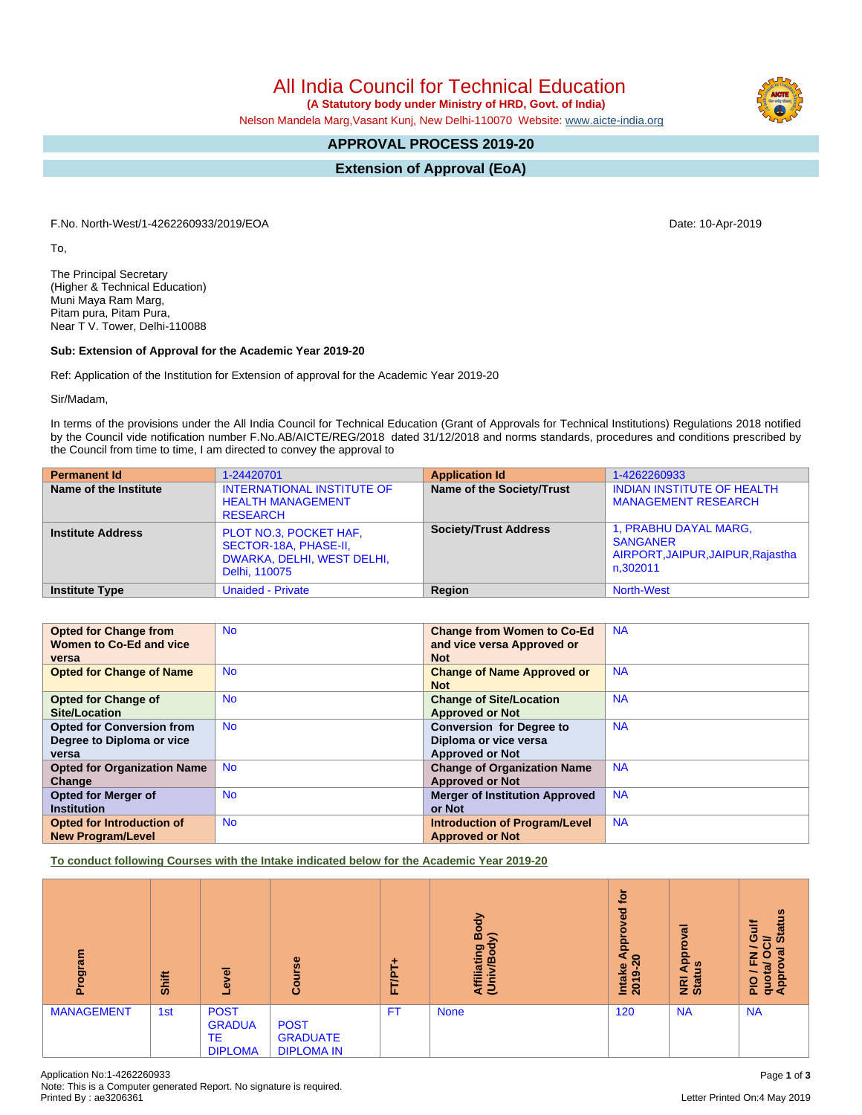Note: This is a Computer generated Report. No signature is required.

# All India Council for Technical Education

 **(A Statutory body under Ministry of HRD, Govt. of India)**

Nelson Mandela Marg,Vasant Kunj, New Delhi-110070 Website: [www.aicte-india.org](http://www.aicte-india.org)

# **APPROVAL PROCESS 2019-20**

**Extension of Approval (EoA)**

F.No. North-West/1-4262260933/2019/EOA Date: 10-Apr-2019

To,

The Principal Secretary (Higher & Technical Education) Muni Maya Ram Marg, Pitam pura, Pitam Pura, Near T V. Tower, Delhi-110088

# **Sub: Extension of Approval for the Academic Year 2019-20**

Ref: Application of the Institution for Extension of approval for the Academic Year 2019-20

Sir/Madam,

In terms of the provisions under the All India Council for Technical Education (Grant of Approvals for Technical Institutions) Regulations 2018 notified by the Council vide notification number F.No.AB/AICTE/REG/2018 dated 31/12/2018 and norms standards, procedures and conditions prescribed by the Council from time to time, I am directed to convey the approval to

| <b>Permanent Id</b>      | 1-24420701                                                                                     | <b>Application Id</b>        | 1-4262260933                                                                              |
|--------------------------|------------------------------------------------------------------------------------------------|------------------------------|-------------------------------------------------------------------------------------------|
| Name of the Institute    | <b>INTERNATIONAL INSTITUTE OF</b><br><b>HEALTH MANAGEMENT</b><br><b>RESEARCH</b>               | Name of the Society/Trust    | <b>INDIAN INSTITUTE OF HEALTH</b><br><b>MANAGEMENT RESEARCH</b>                           |
| <b>Institute Address</b> | PLOT NO.3, POCKET HAF,<br>SECTOR-18A, PHASE-II,<br>DWARKA, DELHI, WEST DELHI,<br>Delhi, 110075 | <b>Society/Trust Address</b> | 1, PRABHU DAYAL MARG,<br><b>SANGANER</b><br>AIRPORT, JAIPUR, JAIPUR, Rajastha<br>n.302011 |
| <b>Institute Type</b>    | <b>Unaided - Private</b>                                                                       | Region                       | <b>North-West</b>                                                                         |

| <b>Opted for Change from</b>       | <b>No</b> | <b>Change from Women to Co-Ed</b>     | <b>NA</b> |
|------------------------------------|-----------|---------------------------------------|-----------|
| Women to Co-Ed and vice            |           | and vice versa Approved or            |           |
| versa                              |           | <b>Not</b>                            |           |
| <b>Opted for Change of Name</b>    | <b>No</b> | <b>Change of Name Approved or</b>     | <b>NA</b> |
|                                    |           | <b>Not</b>                            |           |
| <b>Opted for Change of</b>         | <b>No</b> | <b>Change of Site/Location</b>        | <b>NA</b> |
| <b>Site/Location</b>               |           | <b>Approved or Not</b>                |           |
| <b>Opted for Conversion from</b>   | <b>No</b> | <b>Conversion for Degree to</b>       | <b>NA</b> |
| Degree to Diploma or vice          |           | Diploma or vice versa                 |           |
| versa                              |           | <b>Approved or Not</b>                |           |
| <b>Opted for Organization Name</b> | <b>No</b> | <b>Change of Organization Name</b>    | <b>NA</b> |
| Change                             |           | <b>Approved or Not</b>                |           |
| <b>Opted for Merger of</b>         | <b>No</b> | <b>Merger of Institution Approved</b> | <b>NA</b> |
| <b>Institution</b>                 |           | or Not                                |           |
| <b>Opted for Introduction of</b>   | <b>No</b> | <b>Introduction of Program/Level</b>  | <b>NA</b> |
| <b>New Program/Level</b>           |           | <b>Approved or Not</b>                |           |

**To conduct following Courses with the Intake indicated below for the Academic Year 2019-20**

| Program           | Shift | g<br>ڡ                                                      | Course                                              | ٠<br>FT/PT | Body<br>⋦<br>Affiliating<br>(Univ/Bod <sub>)</sub> | ē<br>ढ़<br>٥<br>윤<br>a<br>$\circ$<br>Intake<br>ၜ<br>201 | ಸ<br>δ<br>윤<br>9<br>$\blacktriangleleft$<br><b>NRI</b><br>Stat | <b>Status</b><br>₹<br>ပ<br>吊<br>z<br>u<br>ц,<br>e<br>ø<br>quota<br>Appro<br>음 |
|-------------------|-------|-------------------------------------------------------------|-----------------------------------------------------|------------|----------------------------------------------------|---------------------------------------------------------|----------------------------------------------------------------|-------------------------------------------------------------------------------|
| <b>MANAGEMENT</b> | 1st   | <b>POST</b><br><b>GRADUA</b><br><b>TE</b><br><b>DIPLOMA</b> | <b>POST</b><br><b>GRADUATE</b><br><b>DIPLOMA IN</b> | <b>FT</b>  | <b>None</b>                                        | 120                                                     | <b>NA</b>                                                      | <b>NA</b>                                                                     |